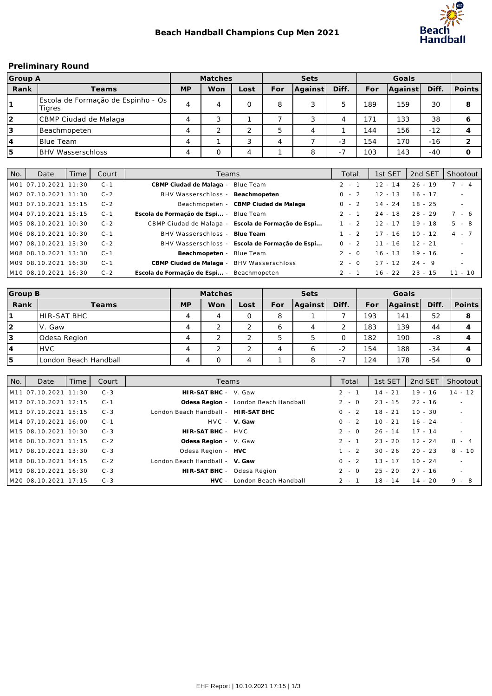

#### **Preliminary Round**

| Group A    |                                                |           | Matches |      |     | Sets    |       |     | Goals   |       |        |
|------------|------------------------------------------------|-----------|---------|------|-----|---------|-------|-----|---------|-------|--------|
| Rank       | Teams                                          | <b>MP</b> | Won     | Lost | For | Aqainst | Diff. | For | Against | Diff. | Points |
|            | Escola de Formação de Espinho - Os  <br>Tigres | 4         | 4       |      | 8   | 3       |       | 189 | 159     | 30    | 8      |
| $\sqrt{2}$ | CBMP Ciudad de Malaga                          | 4         |         |      |     | 3       |       | 71  | 133     | 38    | Ô      |
| 3          | Beachmopeten                                   | 4         |         | ↑    |     | 4       |       | 144 | 156     | $-12$ |        |
| 14         | IBlue Team                                     | 4         |         | 3    |     |         | $-3$  | 154 | 170     | $-16$ |        |
| 5          | <b>BHV Wasserschloss</b>                       | 4         |         | 4    |     | 8       | Ξ.    | 103 | 143     | $-40$ |        |

| l No. | Date                             | Time | Court   | Teams                                              | Total   | 1st SET   | 2nd SET   | Shootout                 |
|-------|----------------------------------|------|---------|----------------------------------------------------|---------|-----------|-----------|--------------------------|
|       | M01 07.10.2021 11:30             |      | $C - 1$ | CBMP Ciudad de Malaga - Blue Team                  | $2 - 1$ | $12 - 14$ | $26 - 19$ | $7 - 4$                  |
|       | IM02 07.10.2021 11:30            |      | $C - 2$ | BHV Wasserschloss - Beachmopeten                   | $0 - 2$ | $12 - 13$ | $16 - 17$ | $\sim$                   |
|       | M03 07.10.2021 15:15             |      | $C - 2$ | Beachmopeten - CBMP Ciudad de Malaga               | $0 - 2$ | $14 - 24$ | $18 - 25$ | $\sim$                   |
|       | M04 07.10.2021 15:15             |      | $C - 1$ | Escola de Formação de Espi - Blue Team             | $2 - 1$ | $24 - 18$ | $28 - 29$ | 7 - 6                    |
|       | IM05 08.10.2021 10:30            |      | $C - 2$ | CBMP Ciudad de Malaga - Escola de Formação de Espi | $1 - 2$ | $12 - 17$ | $19 - 18$ | $5 - 8$                  |
|       | M06 08.10.2021 10:30             |      | $C - 1$ | BHV Wasserschloss - Blue Team                      | $1 - 2$ | $17 - 16$ | $10 - 12$ | $4 - 7$                  |
|       | M07 08.10.2021 13:30             |      | $C - 2$ | BHV Wasserschloss - Escola de Formação de Espi     | $0 - 2$ | $11 - 16$ | $12 - 21$ | $\sim$                   |
|       | IM08 08.10.2021 13:30            |      | $C - 1$ | Beachmopeten - Blue Team                           | $2 - 0$ | $16 - 13$ | $19 - 16$ | $\overline{\phantom{0}}$ |
|       | M09 08.10.2021 16:30             |      | $C - 1$ | CBMP Ciudad de Malaga - BHV Wasserschloss          | $2 - 0$ | $17 - 12$ | $24 - 9$  | $\sim$                   |
|       | M <sub>10</sub> 08.10.2021 16:30 |      | $C - 2$ | Escola de Formação de Espi - Beachmopeten          | $2 - 1$ | $16 - 22$ | $23 - 15$ | $11 - 10$                |

| Group B |                       |           | Matches |          |     | Sets    |                          |     | Goals   |       |        |
|---------|-----------------------|-----------|---------|----------|-----|---------|--------------------------|-----|---------|-------|--------|
| Rank    | Teams                 | <b>MP</b> | Won     | Lost     | For | Aqainst | Diff.                    | For | Against | Diff. | Points |
|         | <b>HIR-SAT BHC</b>    | 4         |         | O        | 8   |         |                          | 193 | 141     | 52    | 8      |
| 2       | IV. Gaw               | 4         |         | $\sim$   | O   | 4       |                          | 183 | 139     | 44    |        |
| 3       | Odesa Region          | 4         |         | ⌒        |     | 5       |                          | 182 | 190     | -8    |        |
| 14      | <b>IHVC</b>           | 4         |         | $\Omega$ | 4   | 6       | $\sim$<br>$\sim$         | 154 | 188     | $-34$ |        |
| 15      | London Beach Handball | 4         |         | 4        |     | 8       | $\overline{\phantom{0}}$ | 124 | 178     | $-54$ |        |

| l No. | Date                             | Time | Court   | Teams                               |                                      | Total   | 1st SET   | 2nd SET   | Shootout  |
|-------|----------------------------------|------|---------|-------------------------------------|--------------------------------------|---------|-----------|-----------|-----------|
|       | M <sub>11</sub> 07.10.2021 11:30 |      | $C - 3$ | HIR-SAT BHC - V. Gaw                |                                      | $2 - 1$ | $14 - 21$ | $19 - 16$ | $14 - 12$ |
|       | M <sub>12</sub> 07.10.2021 12:15 |      | $C - 1$ |                                     | Odesa Region - London Beach Handball | $2 - 0$ | $23 - 15$ | $22 - 16$ | $\sim$    |
|       | M <sub>13</sub> 07.10.2021 15:15 |      | $C - 3$ | London Beach Handball - HIR-SAT BHC |                                      | $0 - 2$ | $18 - 21$ | $10 - 30$ | $\sim$    |
|       | M14 07.10.2021 16:00             |      | $C - 1$ |                                     | HVC - V. Gaw                         | $0 - 2$ | $10 - 21$ | $16 - 24$ | $\sim$    |
|       | M <sub>15</sub> 08.10.2021 10:30 |      | $C - 3$ | HIR-SAT BHC - HVC                   |                                      | $2 - 0$ | $26 - 14$ | $17 - 14$ | $\sim$    |
|       | M <sub>16</sub> 08.10.2021 11:15 |      | $C - 2$ | Odesa Region - V. Gaw               |                                      | $2 - 1$ | $23 - 20$ | $12 - 24$ | $8 - 4$   |
|       | M17 08.10.2021 13:30             |      | $C - 3$ | Odesa Region - HVC                  |                                      | $1 - 2$ | $30 - 26$ | $20 - 23$ | $8 - 10$  |
|       | M18 08.10.2021 14:15             |      | $C - 2$ | London Beach Handball - V. Gaw      |                                      | $0 - 2$ | $13 - 17$ | $10 - 24$ | $\sim$    |
|       | M <sub>19</sub> 08.10.2021 16:30 |      | $C - 3$ | HIR-SAT BHC - Odesa Region          |                                      | $2 - 0$ | $25 - 20$ | $27 - 16$ | $\sim$    |
|       | M20 08.10.2021 17:15             |      | $C - 3$ |                                     | HVC - London Beach Handball          | $2 - 1$ | $18 - 14$ | $14 - 20$ | $9 - 8$   |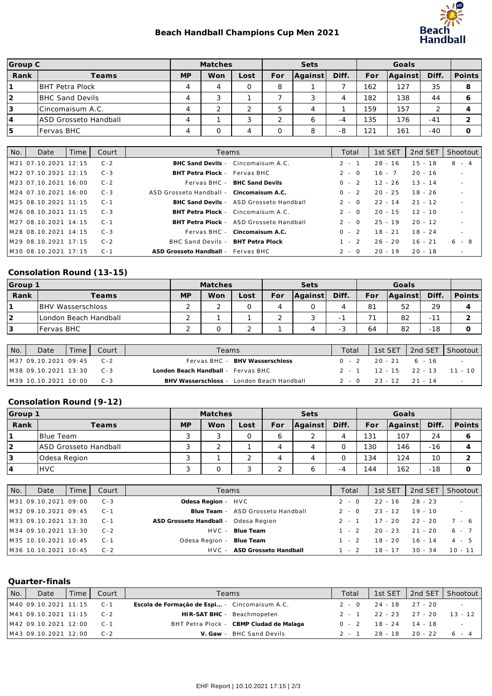## **Beach Handball Champions Cup Men 2021**



| Group C        |                         |           | Matches |           |        | Sets    |       |     | Goals   |       |        |
|----------------|-------------------------|-----------|---------|-----------|--------|---------|-------|-----|---------|-------|--------|
| Rank           | Teams                   | <b>MP</b> | Won     | Lost      | For    | Against | Diff. | For | Against | Diff. | Points |
|                | IBHT Petra Plock        | 4         | Δ       |           | 8      |         |       | 162 | 127     | 35    | 8      |
| $\overline{2}$ | <b>IBHC Sand Devils</b> | 4         |         |           |        | 3       |       | 182 | 138     | 44    |        |
| Ι3             | lCincomaisum A.C.       | 4         |         | $\bigcap$ |        | 4       |       | 159 | 157     | ◠     |        |
| 4              | IASD Grosseto Handball  | 4         |         | 3         | $\sim$ | 6       | -4    | 135 | 176     | $-41$ |        |
| 5              | Fervas BHC              |           |         |           |        | 8       | -8    | 121 | 161     | $-40$ |        |

| No. | Date                  | Time | Court   | Teams                                    |                                         | Total   | 1st SET   | 2nd SET   | Shootout |
|-----|-----------------------|------|---------|------------------------------------------|-----------------------------------------|---------|-----------|-----------|----------|
|     | M21 07.10.2021 12:15  |      | $C - 2$ |                                          | BHC Sand Devils - Cincomaisum A.C.      | $2 - 1$ | $28 - 16$ | $15 - 18$ | $8 - 4$  |
|     | IM22 07.10.2021 12:15 |      | $C - 3$ | BHT Petra Plock - Fervas BHC             |                                         | $2 - 0$ | $16 - 7$  | $20 - 16$ | $\sim$   |
|     | IM23 07.10.2021 16:00 |      | $C - 2$ |                                          | Fervas BHC - BHC Sand Devils            | $0 - 2$ | $12 - 26$ | $13 - 14$ |          |
|     | IM24 07.10.2021 16:00 |      | $C - 3$ | ASD Grosseto Handball - Cincomaisum A.C. |                                         | $0 - 2$ | $20 - 25$ | $18 - 26$ |          |
|     | M25 08.10.2021 11:15  |      | $C - 1$ |                                          | BHC Sand Devils - ASD Grosseto Handball | $2 - 0$ | $22 - 14$ | $21 - 12$ |          |
|     | IM26 08.10.2021 11:15 |      | $C - 3$ |                                          | BHT Petra Plock - Cincomaisum A.C.      | $2 - 0$ | $20 - 15$ | $12 - 10$ |          |
|     | M27 08.10.2021 14:15  |      | $C - 1$ |                                          | BHT Petra Plock - ASD Grosseto Handball | $2 - 0$ | $25 - 19$ | $20 - 12$ |          |
|     | M28 08.10.2021 14:15  |      | $C - 3$ |                                          | Fervas BHC - Cincomaisum A.C.           | $0 - 2$ | $18 - 21$ | $18 - 24$ |          |
|     | M29 08.10.2021 17:15  |      | $C - 2$ | BHC Sand Devils - BHT Petra Plock        |                                         | $1 - 2$ | $26 - 20$ | $16 - 21$ | 6-8      |
|     | IM30 08.10.2021 17:15 |      | $C - 1$ | ASD Grosseto Handball - Fervas BHC       |                                         | $2 - 0$ | $20 - 19$ | $20 - 18$ | $\sim$   |

# **Consolation Round (13-15)**

| Group 1 |                          |           | <b>Matches</b> |      |     | Sets    |                          |     | Goals   |        |        |
|---------|--------------------------|-----------|----------------|------|-----|---------|--------------------------|-----|---------|--------|--------|
| Rank    | Teams                    | <b>MP</b> | Won            | ∟ost | For | Against | Diff.                    | For | Against | Diff.  | Points |
|         | <b>BHV Wasserschloss</b> |           |                | 0    |     | 0       |                          | 81  | 52      | 29     |        |
| 2       | London Beach Handball    |           |                |      |     | . .     | $\overline{\phantom{0}}$ |     | 82      | $-1^7$ |        |
| Ι3      | Fervas BHC               |           |                | ╭    |     | 4       | тû                       | 64  | 82      | $-18$  |        |

| No. | Date                      | Time I | Court   | Teams                                     | Total |                             | 1st SET 1 2nd SET 1 Shootout  |
|-----|---------------------------|--------|---------|-------------------------------------------|-------|-----------------------------|-------------------------------|
|     | IM37 09.10.2021 09:45 C-2 |        |         | Fervas BHC - BHV Wasserschloss            |       | $0 - 2$ 20 - 21 6 - 16      |                               |
|     | IM38 09.10.2021 13:30     |        | $C - 3$ | London Beach Handball - Fervas BHC        |       |                             | 2 - 1 12 - 15 22 - 13 11 - 10 |
|     | IM39 10.10.2021 10:00     |        | $C - 3$ | BHV Wasserschloss - London Beach Handball |       | $2 - 0$ $23 - 12$ $21 - 14$ |                               |

### **Consolation Round (9-12)**

| Group 1 |                              |           | Matches |                |     | Sets    |       |     | Goals   |       |        |
|---------|------------------------------|-----------|---------|----------------|-----|---------|-------|-----|---------|-------|--------|
| Rank    | Teams                        | <b>MP</b> | Won     | Lost           | For | Against | Diff. | For | Against | Diff. | Points |
|         | IBlue Team                   |           |         | 0              |     | $\sim$  |       | 131 | 107     | 24    |        |
| 2       | <b>ASD Grosseto Handball</b> | ٮ         |         |                |     | 4       |       | 130 | 146     | $-16$ |        |
| 13      | Odesa Region                 |           |         | ⌒              |     | 4       |       | 134 | 124     | 10    |        |
| 14      | IHVC                         |           |         | $\overline{ }$ |     | 6       | -4    | 44  | 162     | $-18$ |        |

| No. | Date                 | Time | Court   | Teams                                | Total   | 1st SET   | 2nd SET             | Shootout  |
|-----|----------------------|------|---------|--------------------------------------|---------|-----------|---------------------|-----------|
|     | M31 09.10.2021 09:00 |      | C - 3   | Odesa Region - HVC                   | $2 - 0$ | $22 - 16$ | $28 - 23$           | $\sim$    |
|     | M32 09.10.2021 09:45 |      | $C - 1$ | Blue Team - ASD Grosseto Handball    | $2 - 0$ | $23 - 12$ | $19 - 10$           | $\sim$    |
|     | M33 09.10.2021 13:30 |      | $C - 1$ | ASD Grosseto Handball - Odesa Region | 2 - 1   |           | $17 - 20$ 22 - 20   | 7 - 6     |
|     | M34 09.10.2021 13:30 |      | $C - 2$ | HVC - Blue Team                      | $1 - 2$ |           | $20 - 23$ $21 - 20$ | $6 - 7$   |
|     | M35 10.10.2021 10:45 |      | $C - 1$ | Odesa Region - Blue Team             | $1 - 2$ | $18 - 20$ | $16 - 14$           | $4 - 5$   |
|     | M36 10.10.2021 10:45 |      | $C - 2$ | HVC - ASD Grosseto Handball          | $1 - 2$ | $18 - 17$ | $30 - 34$           | $10 - 11$ |

#### **Quarter-finals**

| No. | Date                                                           | Time I | Court | Teams                                         | Total |                             | 1st SET 2nd SET Shootout |
|-----|----------------------------------------------------------------|--------|-------|-----------------------------------------------|-------|-----------------------------|--------------------------|
|     | M40 09.10.2021 11:15                                           |        | $C-1$ | Escola de Formação de Espi - Cincomaisum A.C. |       | $2 - 0$ $24 - 18$ $27 - 20$ | $\sim$ $-$               |
|     | $\begin{bmatrix} M41 & 09.10.2021 & 11:15 & C-2 \end{bmatrix}$ |        |       | HIR-SAT BHC - Beachmopeten                    |       | $2 - 1$ $22 - 23$ $27 - 20$ | 13 - 12                  |
|     | M42 09.10.2021 12:00                                           |        |       | BHT Petra Plock - CBMP Ciudad de Malaga       |       | $0 - 2$ 18 - 24 14 - 18     |                          |
|     | M43 09.10.2021 12:00                                           |        | $C-2$ | V. Gaw - BHC Sand Devils                      | 2 - 1 | $28 - 18$ $20 - 22$         | 6 - 4                    |